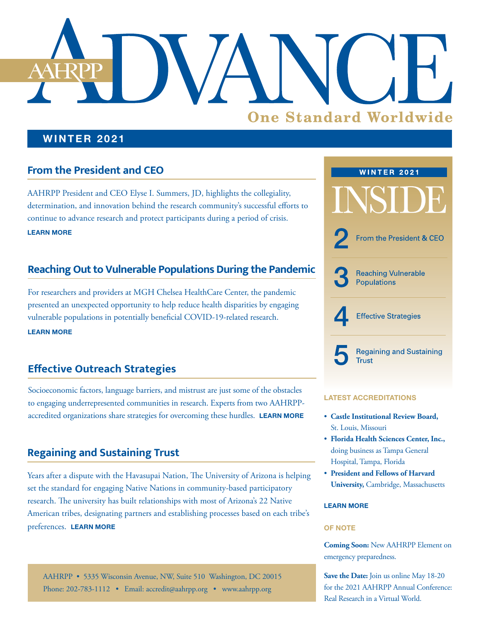# **One Standard Worldwide**

### **WINTER 2021**

## **From the President and CEO**

AAHRPP President and CEO Elyse I. Summers, JD, highlights the collegiality, determination, and innovation behind the research community's successful efforts to continue to advance research and protect participants during a period of crisis. **[LEARN MORE](#page-1-0)**

### **Reaching Out to Vulnerable Populations During the Pandemic**

For researchers and providers at MGH Chelsea HealthCare Center, the pandemic presented an unexpected opportunity to help reduce health disparities by engaging vulnerable populations in potentially beneficial COVID-19-related research. **[LEARN MORE](#page-2-0)**

# **Effective Outreach Strategies**

Socioeconomic factors, language barriers, and mistrust are just some of the obstacles to engaging underrepresented communities in research. Experts from two AAHRPPaccredited organizations share strategies for overcoming these hurdles. **[LEARN MORE](#page-3-0)**

# **Regaining and Sustaining Trust**

Years after a dispute with the Havasupai Nation, The University of Arizona is helping set the standard for engaging Native Nations in community-based participatory research. The university has built relationships with most of Arizona's 22 Native American tribes, designating partners and establishing processes based on each tribe's preferences. **[LEARN MORE](#page-4-0) OF NOTE**

AAHRPP • 5335 Wisconsin Avenue, NW, Suite 510 Washington, DC 20015 Phone: 202-783-1112 • Email: [accredit@aahrpp.org](mailto:accredit%40aahrpp.org?subject=) • [www.aahrpp.org](http://www.aahrpp.org)



### **LATEST ACCREDITATIONS**

- **Castle Institutional Review Board,**  St. Louis, Missouri
- **Florida Health Sciences Center, Inc.,** doing business as Tampa General Hospital, Tampa, Florida
- **President and Fellows of Harvard University,** Cambridge, Massachusetts

### **[LEARN MORE](https://admin.aahrpp.org/Website%20Documents/4th%20Q%202020%20accreditations%20release%20FINAL%20-AAHRPP%20accredits%20three%20more%20research%20organizations.pdf)**

**Coming Soon:** New AAHRPP Element on emergency preparedness.

**Save the Date:** Join us online May 18-20 for the 2021 AAHRPP Annual Conference: Real Research in a Virtual World.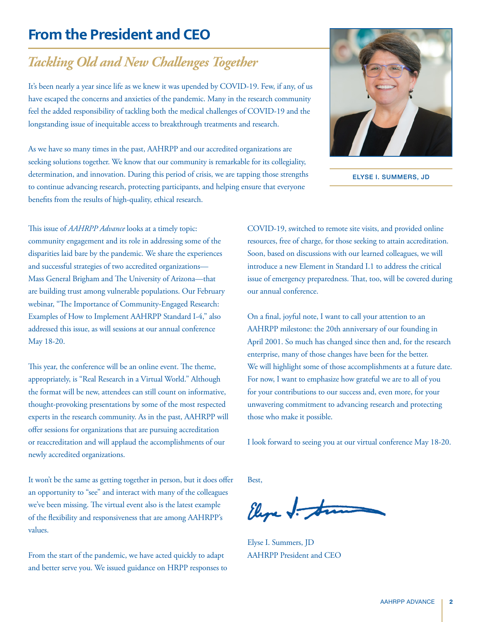# <span id="page-1-0"></span>**From the President and CEO**

# *Tackling Old and New Challenges Together*

It's been nearly a year since life as we knew it was upended by COVID-19. Few, if any, of us have escaped the concerns and anxieties of the pandemic. Many in the research community feel the added responsibility of tackling both the medical challenges of COVID-19 and the longstanding issue of inequitable access to breakthrough treatments and research.

As we have so many times in the past, AAHRPP and our accredited organizations are seeking solutions together. We know that our community is remarkable for its collegiality, determination, and innovation. During this period of crisis, we are tapping those strengths to continue advancing research, protecting participants, and helping ensure that everyone benefits from the results of high-quality, ethical research.



ELYSE I. SUMMERS, JD

This issue of *AAHRPP Advance* looks at a timely topic: community engagement and its role in addressing some of the disparities laid bare by the pandemic. We share the experiences and successful strategies of two accredited organizations— Mass General Brigham and The University of Arizona—that are building trust among vulnerable populations. Our February webinar, "The Importance of Community-Engaged Research: Examples of How to Implement AAHRPP Standard I-4," also addressed this issue, as will sessions at our annual conference May 18-20.

This year, the conference will be an online event. The theme, appropriately, is "Real Research in a Virtual World." Although the format will be new, attendees can still count on informative, thought-provoking presentations by some of the most respected experts in the research community. As in the past, AAHRPP will offer sessions for organizations that are pursuing accreditation or reaccreditation and will applaud the accomplishments of our newly accredited organizations.

It won't be the same as getting together in person, but it does offer an opportunity to "see" and interact with many of the colleagues we've been missing. The virtual event also is the latest example of the flexibility and responsiveness that are among AAHRPP's values.

From the start of the pandemic, we have acted quickly to adapt and better serve you. We issued guidance on HRPP responses to COVID-19, switched to remote site visits, and provided online resources, free of charge, for those seeking to attain accreditation. Soon, based on discussions with our learned colleagues, we will introduce a new Element in Standard I.1 to address the critical issue of emergency preparedness. That, too, will be covered during our annual conference.

On a final, joyful note, I want to call your attention to an AAHRPP milestone: the 20th anniversary of our founding in April 2001. So much has changed since then and, for the research enterprise, many of those changes have been for the better. We will highlight some of those accomplishments at a future date. For now, I want to emphasize how grateful we are to all of you for your contributions to our success and, even more, for your unwavering commitment to advancing research and protecting those who make it possible.

I look forward to seeing you at our virtual conference May 18-20.

Best,

Elepe J. to

Elyse I. Summers, JD AAHRPP President and CEO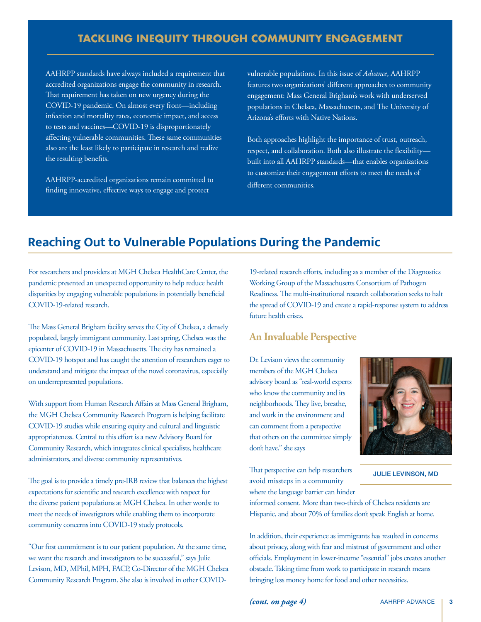### **TACKLING INEQUITY THROUGH COMMUNITY ENGAGEMENT**

<span id="page-2-0"></span>AAHRPP standards have always included a requirement that accredited organizations engage the community in research. That requirement has taken on new urgency during the COVID-19 pandemic. On almost every front—including infection and mortality rates, economic impact, and access to tests and vaccines—COVID-19 is disproportionately affecting vulnerable communities. These same communities also are the least likely to participate in research and realize the resulting benefits.

AAHRPP-accredited organizations remain committed to finding innovative, effective ways to engage and protect

vulnerable populations. In this issue of *Advance*, AAHRPP features two organizations' different approaches to community engagement: Mass General Brigham's work with underserved populations in Chelsea, Massachusetts, and The University of Arizona's efforts with Native Nations.

Both approaches highlight the importance of trust, outreach, respect, and collaboration. Both also illustrate the flexibility built into all AAHRPP standards—that enables organizations to customize their engagement efforts to meet the needs of different communities.

# **Reaching Out to Vulnerable Populations During the Pandemic**

For researchers and providers at MGH Chelsea HealthCare Center, the pandemic presented an unexpected opportunity to help reduce health disparities by engaging vulnerable populations in potentially beneficial COVID-19-related research.

The Mass General Brigham facility serves the City of Chelsea, a densely populated, largely immigrant community. Last spring, Chelsea was the epicenter of COVID-19 in Massachusetts. The city has remained a COVID-19 hotspot and has caught the attention of researchers eager to understand and mitigate the impact of the novel coronavirus, especially on underrepresented populations.

With support from Human Research Affairs at Mass General Brigham, the MGH Chelsea Community Research Program is helping facilitate COVID-19 studies while ensuring equity and cultural and linguistic appropriateness. Central to this effort is a new Advisory Board for Community Research, which integrates clinical specialists, healthcare administrators, and diverse community representatives.

The goal is to provide a timely pre-IRB review that balances the highest expectations for scientific and research excellence with respect for the diverse patient populations at MGH Chelsea. In other words: to meet the needs of investigators while enabling them to incorporate community concerns into COVID-19 study protocols.

"Our first commitment is to our patient population. At the same time, we want the research and investigators to be successful," says Julie Levison, MD, MPhil, MPH, FACP, Co-Director of the MGH Chelsea Community Research Program. She also is involved in other COVID-

19-related research efforts, including as a member of the Diagnostics Working Group of the Massachusetts Consortium of Pathogen Readiness. The multi-institutional research collaboration seeks to halt the spread of COVID-19 and create a rapid-response system to address future health crises.

### **An Invaluable Perspective**

Dr. Levison views the community members of the MGH Chelsea advisory board as "real-world experts who know the community and its neighborhoods. They live, breathe, and work in the environment and can comment from a perspective that others on the committee simply don't have," she says

That perspective can help researchers avoid missteps in a community where the language barrier can hinder



JULIE LEVINSON, MD

informed consent. More than two-thirds of Chelsea residents are Hispanic, and about 70% of families don't speak English at home.

In addition, their experience as immigrants has resulted in concerns about privacy, along with fear and mistrust of government and other officials. Employment in lower-income "essential" jobs creates another obstacle. Taking time from work to participate in research means bringing less money home for food and other necessities.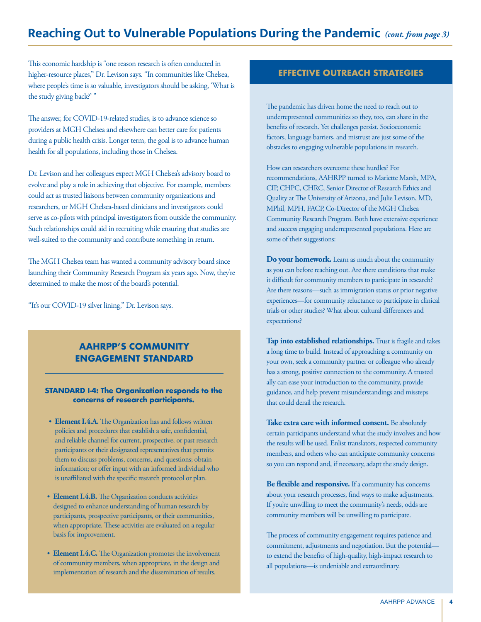# <span id="page-3-0"></span>**Reaching Out to Vulnerable Populations During the Pandemic** *(cont. from page 3)*

This economic hardship is "one reason research is often conducted in higher-resource places," Dr. Levison says. "In communities like Chelsea, where people's time is so valuable, investigators should be asking, 'What is the study giving back?'"

The answer, for COVID-19-related studies, is to advance science so providers at MGH Chelsea and elsewhere can better care for patients during a public health crisis. Longer term, the goal is to advance human health for all populations, including those in Chelsea.

Dr. Levison and her colleagues expect MGH Chelsea's advisory board to evolve and play a role in achieving that objective. For example, members could act as trusted liaisons between community organizations and researchers, or MGH Chelsea-based clinicians and investigators could serve as co-pilots with principal investigators from outside the community. Such relationships could aid in recruiting while ensuring that studies are well-suited to the community and contribute something in return.

The MGH Chelsea team has wanted a community advisory board since launching their Community Research Program six years ago. Now, they're determined to make the most of the board's potential.

"It's our COVID-19 silver lining," Dr. Levison says.

### **AAHRPP'S COMMUNITY ENGAGEMENT STANDARD**

### **STANDARD I-4: The Organization responds to the concerns of research participants.**

- **Element I.4.A.** The Organization has and follows written policies and procedures that establish a safe, confidential, and reliable channel for current, prospective, or past research participants or their designated representatives that permits them to discuss problems, concerns, and questions; obtain information; or offer input with an informed individual who is unaffiliated with the specific research protocol or plan.
- **Element I.4.B.** The Organization conducts activities designed to enhance understanding of human research by participants, prospective participants, or their communities, when appropriate. These activities are evaluated on a regular basis for improvement.
- **Element I.4.C.** The Organization promotes the involvement of community members, when appropriate, in the design and implementation of research and the dissemination of results.

### **EFFECTIVE OUTREACH STRATEGIES**

The pandemic has driven home the need to reach out to underrepresented communities so they, too, can share in the benefits of research. Yet challenges persist. Socioeconomic factors, language barriers, and mistrust are just some of the obstacles to engaging vulnerable populations in research.

How can researchers overcome these hurdles? For recommendations, AAHRPP turned to Mariette Marsh, MPA, CIP, CHPC, CHRC, Senior Director of Research Ethics and Quality at The University of Arizona, and Julie Levison, MD, MPhil, MPH, FACP, Co-Director of the MGH Chelsea Community Research Program. Both have extensive experience and success engaging underrepresented populations. Here are some of their suggestions:

**Do your homework.** Learn as much about the community as you can before reaching out. Are there conditions that make it difficult for community members to participate in research? Are there reasons—such as immigration status or prior negative experiences—for community reluctance to participate in clinical trials or other studies? What about cultural differences and expectations?

**Tap into established relationships.** Trust is fragile and takes a long time to build. Instead of approaching a community on your own, seek a community partner or colleague who already has a strong, positive connection to the community. A trusted ally can ease your introduction to the community, provide guidance, and help prevent misunderstandings and missteps that could derail the research.

**Take extra care with informed consent.** Be absolutely certain participants understand what the study involves and how the results will be used. Enlist translators, respected community members, and others who can anticipate community concerns so you can respond and, if necessary, adapt the study design.

**Be flexible and responsive.** If a community has concerns about your research processes, find ways to make adjustments. If you're unwilling to meet the community's needs, odds are community members will be unwilling to participate.

The process of community engagement requires patience and commitment, adjustments and negotiation. But the potential to extend the benefits of high-quality, high-impact research to all populations—is undeniable and extraordinary.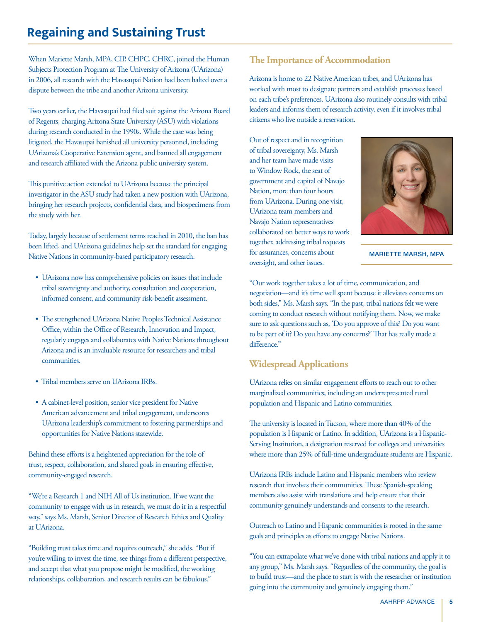# <span id="page-4-0"></span>**Regaining and Sustaining Trust**

When Mariette Marsh, MPA, CIP, CHPC, CHRC, joined the Human Subjects Protection Program at The University of Arizona (UArizona) in 2006, all research with the Havasupai Nation had been halted over a dispute between the tribe and another Arizona university.

Two years earlier, the Havasupai had filed suit against the Arizona Board of Regents, charging Arizona State University (ASU) with violations during research conducted in the 1990s. While the case was being litigated, the Havasupai banished all university personnel, including UArizona's Cooperative Extension agent, and banned all engagement and research affiliated with the Arizona public university system.

This punitive action extended to UArizona because the principal investigator in the ASU study had taken a new position with UArizona, bringing her research projects, confidential data, and biospecimens from the study with her.

Today, largely because of settlement terms reached in 2010, the ban has been lifted, and UArizona guidelines help set the standard for engaging Native Nations in community-based participatory research.

- UArizona now has comprehensive policies on issues that include tribal sovereignty and authority, consultation and cooperation, informed consent, and community risk-benefit assessment.
- The strengthened UArizona Native Peoples Technical Assistance Office, within the Office of Research, Innovation and Impact, regularly engages and collaborates with Native Nations throughout Arizona and is an invaluable resource for researchers and tribal communities.
- Tribal members serve on UArizona IRBs.
- A cabinet-level position, senior vice president for Native American advancement and tribal engagement, underscores UArizona leadership's commitment to fostering partnerships and opportunities for Native Nations statewide.

Behind these efforts is a heightened appreciation for the role of trust, respect, collaboration, and shared goals in ensuring effective, community-engaged research.

"We're a Research 1 and NIH All of Us institution. If we want the community to engage with us in research, we must do it in a respectful way," says Ms. Marsh, Senior Director of Research Ethics and Quality at UArizona.

"Building trust takes time and requires outreach," she adds. "But if you're willing to invest the time, see things from a different perspective, and accept that what you propose might be modified, the working relationships, collaboration, and research results can be fabulous."

### **The Importance of Accommodation**

Arizona is home to 22 Native American tribes, and UArizona has worked with most to designate partners and establish processes based on each tribe's preferences. UArizona also routinely consults with tribal leaders and informs them of research activity, even if it involves tribal citizens who live outside a reservation.

Out of respect and in recognition of tribal sovereignty, Ms. Marsh and her team have made visits to Window Rock, the seat of government and capital of Navajo Nation, more than four hours from UArizona. During one visit, UArizona team members and Navajo Nation representatives collaborated on better ways to work together, addressing tribal requests for assurances, concerns about oversight, and other issues.



MARIETTE MARSH, MPA

"Our work together takes a lot of time, communication, and negotiation—and it's time well spent because it alleviates concerns on both sides," Ms. Marsh says. "In the past, tribal nations felt we were coming to conduct research without notifying them. Now, we make sure to ask questions such as, 'Do you approve of this? Do you want to be part of it? Do you have any concerns?' That has really made a difference."

### **Widespread Applications**

UArizona relies on similar engagement efforts to reach out to other marginalized communities, including an underrepresented rural population and Hispanic and Latino communities.

The university is located in Tucson, where more than 40% of the population is Hispanic or Latino. In addition, UArizona is a Hispanic-Serving Institution, a designation reserved for colleges and universities where more than 25% of full-time undergraduate students are Hispanic.

UArizona IRBs include Latino and Hispanic members who review research that involves their communities. These Spanish-speaking members also assist with translations and help ensure that their community genuinely understands and consents to the research.

Outreach to Latino and Hispanic communities is rooted in the same goals and principles as efforts to engage Native Nations.

"You can extrapolate what we've done with tribal nations and apply it to any group," Ms. Marsh says. "Regardless of the community, the goal is to build trust—and the place to start is with the researcher or institution going into the community and genuinely engaging them."